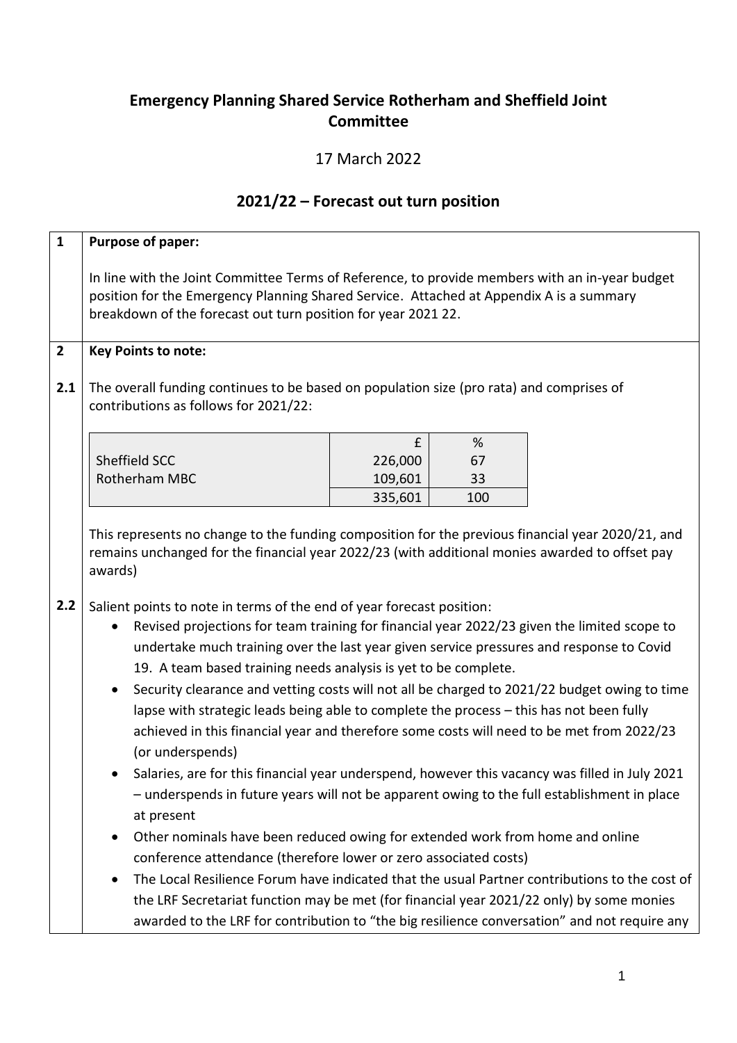## **Emergency Planning Shared Service Rotherham and Sheffield Joint Committee**

## 17 March 2022

## **2021/22 – Forecast out turn position**

| $\mathbf{1}$ | Purpose of paper:                                                                                                                                                                                                                                                                                                                                                                                                                                                                                                                                                                                                                                                                                                                                                  |         |     |  |  |  |  |  |
|--------------|--------------------------------------------------------------------------------------------------------------------------------------------------------------------------------------------------------------------------------------------------------------------------------------------------------------------------------------------------------------------------------------------------------------------------------------------------------------------------------------------------------------------------------------------------------------------------------------------------------------------------------------------------------------------------------------------------------------------------------------------------------------------|---------|-----|--|--|--|--|--|
|              | In line with the Joint Committee Terms of Reference, to provide members with an in-year budget<br>position for the Emergency Planning Shared Service. Attached at Appendix A is a summary<br>breakdown of the forecast out turn position for year 2021 22.                                                                                                                                                                                                                                                                                                                                                                                                                                                                                                         |         |     |  |  |  |  |  |
| $\mathbf{2}$ | <b>Key Points to note:</b>                                                                                                                                                                                                                                                                                                                                                                                                                                                                                                                                                                                                                                                                                                                                         |         |     |  |  |  |  |  |
| 2.1          | The overall funding continues to be based on population size (pro rata) and comprises of<br>contributions as follows for 2021/22:                                                                                                                                                                                                                                                                                                                                                                                                                                                                                                                                                                                                                                  |         |     |  |  |  |  |  |
|              |                                                                                                                                                                                                                                                                                                                                                                                                                                                                                                                                                                                                                                                                                                                                                                    | £       | %   |  |  |  |  |  |
|              | Sheffield SCC                                                                                                                                                                                                                                                                                                                                                                                                                                                                                                                                                                                                                                                                                                                                                      | 226,000 | 67  |  |  |  |  |  |
|              | Rotherham MBC                                                                                                                                                                                                                                                                                                                                                                                                                                                                                                                                                                                                                                                                                                                                                      | 109,601 | 33  |  |  |  |  |  |
|              |                                                                                                                                                                                                                                                                                                                                                                                                                                                                                                                                                                                                                                                                                                                                                                    | 335,601 | 100 |  |  |  |  |  |
| 2.2          | remains unchanged for the financial year 2022/23 (with additional monies awarded to offset pay<br>awards)<br>Salient points to note in terms of the end of year forecast position:<br>Revised projections for team training for financial year 2022/23 given the limited scope to<br>$\bullet$<br>undertake much training over the last year given service pressures and response to Covid<br>19. A team based training needs analysis is yet to be complete.<br>Security clearance and vetting costs will not all be charged to 2021/22 budget owing to time<br>$\bullet$<br>lapse with strategic leads being able to complete the process - this has not been fully<br>achieved in this financial year and therefore some costs will need to be met from 2022/23 |         |     |  |  |  |  |  |
|              | (or underspends)                                                                                                                                                                                                                                                                                                                                                                                                                                                                                                                                                                                                                                                                                                                                                   |         |     |  |  |  |  |  |
|              | Salaries, are for this financial year underspend, however this vacancy was filled in July 2021<br>- underspends in future years will not be apparent owing to the full establishment in place<br>at present                                                                                                                                                                                                                                                                                                                                                                                                                                                                                                                                                        |         |     |  |  |  |  |  |
|              | Other nominals have been reduced owing for extended work from home and online<br>$\bullet$                                                                                                                                                                                                                                                                                                                                                                                                                                                                                                                                                                                                                                                                         |         |     |  |  |  |  |  |
|              | conference attendance (therefore lower or zero associated costs)                                                                                                                                                                                                                                                                                                                                                                                                                                                                                                                                                                                                                                                                                                   |         |     |  |  |  |  |  |
|              | The Local Resilience Forum have indicated that the usual Partner contributions to the cost of<br>$\bullet$                                                                                                                                                                                                                                                                                                                                                                                                                                                                                                                                                                                                                                                         |         |     |  |  |  |  |  |
|              | the LRF Secretariat function may be met (for financial year 2021/22 only) by some monies                                                                                                                                                                                                                                                                                                                                                                                                                                                                                                                                                                                                                                                                           |         |     |  |  |  |  |  |
|              | awarded to the LRF for contribution to "the big resilience conversation" and not require any                                                                                                                                                                                                                                                                                                                                                                                                                                                                                                                                                                                                                                                                       |         |     |  |  |  |  |  |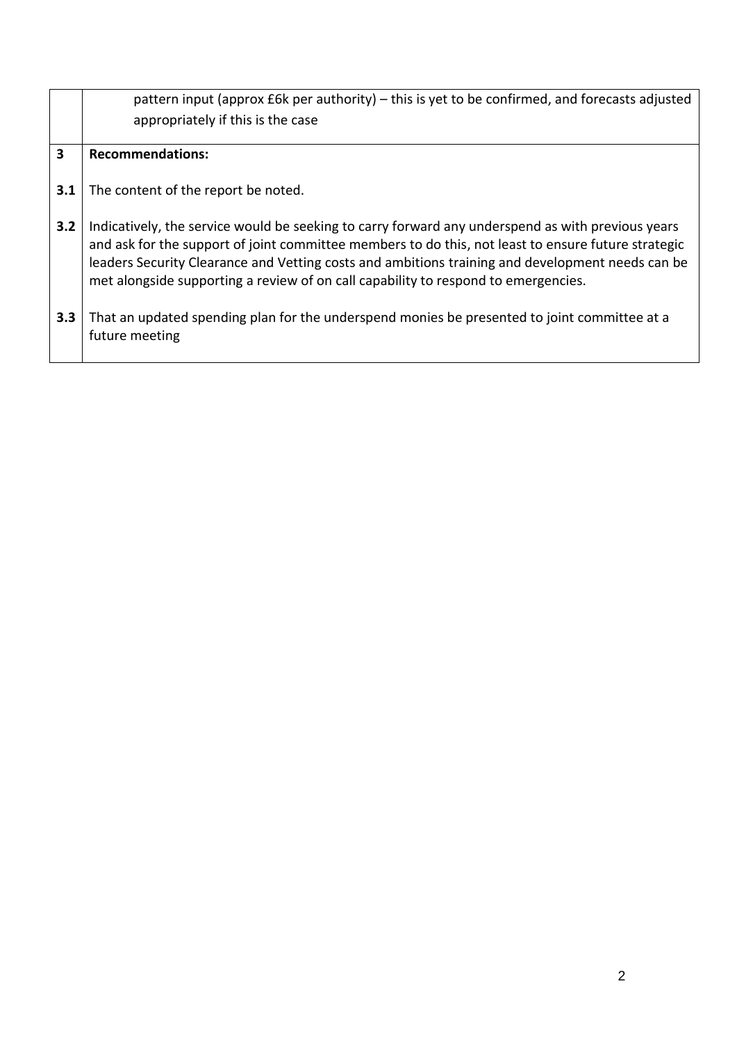|     | pattern input (approx £6k per authority) – this is yet to be confirmed, and forecasts adjusted<br>appropriately if this is the case                                                                                                                                                                                                                                                                |
|-----|----------------------------------------------------------------------------------------------------------------------------------------------------------------------------------------------------------------------------------------------------------------------------------------------------------------------------------------------------------------------------------------------------|
| 3   | <b>Recommendations:</b>                                                                                                                                                                                                                                                                                                                                                                            |
| 3.1 | The content of the report be noted.                                                                                                                                                                                                                                                                                                                                                                |
| 3.2 | Indicatively, the service would be seeking to carry forward any underspend as with previous years<br>and ask for the support of joint committee members to do this, not least to ensure future strategic<br>leaders Security Clearance and Vetting costs and ambitions training and development needs can be<br>met alongside supporting a review of on call capability to respond to emergencies. |
| 3.3 | That an updated spending plan for the underspend monies be presented to joint committee at a<br>future meeting                                                                                                                                                                                                                                                                                     |